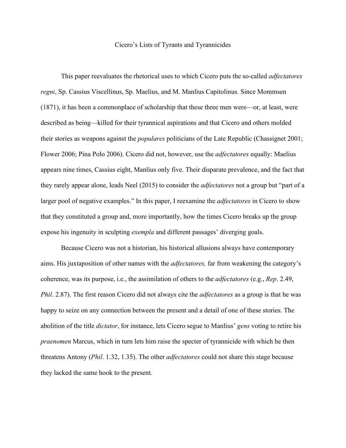## Cicero's Lists of Tyrants and Tyrannicides

This paper reevaluates the rhetorical uses to which Cicero puts the so-called *adfectatores regni*, Sp. Cassius Viscellinus, Sp. Maelius, and M. Manlius Capitolinus. Since Mommsen (1871), it has been a commonplace of scholarship that these three men were—or, at least, were described as being—killed for their tyrannical aspirations and that Cicero and others molded their stories as weapons against the *populares* politicians of the Late Republic (Chassignet 2001; Flower 2006; Pina Polo 2006). Cicero did not, however, use the *adfectatores* equally: Maelius appears nine times, Cassius eight, Manlius only five. Their disparate prevalence, and the fact that they rarely appear alone, leads Neel (2015) to consider the *adfectatores* not a group but "part of a larger pool of negative examples." In this paper, I reexamine the *adfectatores* in Cicero to show that they constituted a group and, more importantly, how the times Cicero breaks up the group expose his ingenuity in sculpting *exempla* and different passages' diverging goals.

Because Cicero was not a historian, his historical allusions always have contemporary aims. His juxtaposition of other names with the *adfectatores,* far from weakening the category's coherence, was its purpose, i.e., the assimilation of others to the *adfectatores* (e.g., *Rep*. 2.49, *Phil*. 2.87). The first reason Cicero did not always cite the *adfectatores* as a group is that he was happy to seize on any connection between the present and a detail of one of these stories. The abolition of the title *dictator*, for instance, lets Cicero segue to Manlius' *gens* voting to retire his *praenomen* Marcus, which in turn lets him raise the specter of tyrannicide with which he then threatens Antony (*Phil*. 1.32, 1.35). The other *adfectatores* could not share this stage because they lacked the same hook to the present.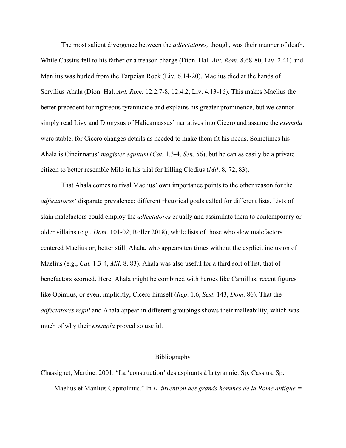The most salient divergence between the *adfectatores,* though, was their manner of death. While Cassius fell to his father or a treason charge (Dion. Hal. *Ant. Rom.* 8.68-80; Liv. 2.41) and Manlius was hurled from the Tarpeian Rock (Liv. 6.14-20), Maelius died at the hands of Servilius Ahala (Dion. Hal. *Ant. Rom.* 12.2.7-8, 12.4.2; Liv. 4.13-16). This makes Maelius the better precedent for righteous tyrannicide and explains his greater prominence, but we cannot simply read Livy and Dionysus of Halicarnassus' narratives into Cicero and assume the *exempla*  were stable, for Cicero changes details as needed to make them fit his needs. Sometimes his Ahala is Cincinnatus' *magister equitum* (*Cat.* 1.3-4, *Sen.* 56), but he can as easily be a private citizen to better resemble Milo in his trial for killing Clodius (*Mil*. 8, 72, 83).

That Ahala comes to rival Maelius' own importance points to the other reason for the *adfectatores*' disparate prevalence: different rhetorical goals called for different lists. Lists of slain malefactors could employ the *adfectatores* equally and assimilate them to contemporary or older villains (e.g., *Dom*. 101-02; Roller 2018), while lists of those who slew malefactors centered Maelius or, better still, Ahala, who appears ten times without the explicit inclusion of Maelius (e.g., *Cat.* 1.3-4, *Mil.* 8, 83). Ahala was also useful for a third sort of list, that of benefactors scorned. Here, Ahala might be combined with heroes like Camillus, recent figures like Opimius, or even, implicitly, Cicero himself (*Rep*. 1.6, *Sest.* 143, *Dom*. 86). That the *adfectatores regni* and Ahala appear in different groupings shows their malleability, which was much of why their *exempla* proved so useful.

## Bibliography

Chassignet, Martine. 2001. "La 'construction' des aspirants à la tyrannie: Sp. Cassius, Sp.

Maelius et Manlius Capitolinus." In *L' invention des grands hommes de la Rome antique =*